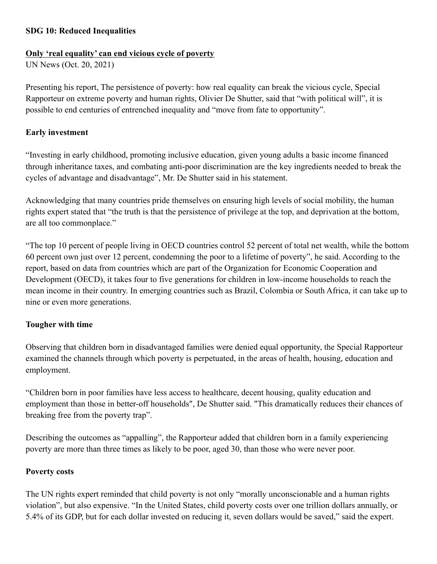### **SDG 10: Reduced Inequalities**

### **Only 'real equality' can end vicious cycle of poverty**

UN News (Oct. 20, 2021)

Presenting his report, The persistence of poverty: how real equality can break the vicious cycle, Special Rapporteur on extreme poverty and human rights, Olivier De Shutter, said that "with political will", it is possible to end centuries of entrenched inequality and "move from fate to opportunity".

### **Early investment**

"Investing in early childhood, promoting inclusive education, given young adults a basic income financed through inheritance taxes, and combating anti-poor discrimination are the key ingredients needed to break the cycles of advantage and disadvantage", Mr. De Shutter said in his statement.

Acknowledging that many countries pride themselves on ensuring high levels of social mobility, the human rights expert stated that "the truth is that the persistence of privilege at the top, and deprivation at the bottom, are all too commonplace."

"The top 10 percent of people living in OECD countries control 52 percent of total net wealth, while the bottom 60 percent own just over 12 percent, condemning the poor to a lifetime of poverty", he said. According to the report, based on data from countries which are part of the Organization for Economic Cooperation and Development (OECD), it takes four to five generations for children in low-income households to reach the mean income in their country. In emerging countries such as Brazil, Colombia or South Africa, it can take up to nine or even more generations.

# **Tougher with time**

Observing that children born in disadvantaged families were denied equal opportunity, the Special Rapporteur examined the channels through which poverty is perpetuated, in the areas of health, housing, education and employment.

"Children born in poor families have less access to healthcare, decent housing, quality education and employment than those in better-off households", De Shutter said. "This dramatically reduces their chances of breaking free from the poverty trap".

Describing the outcomes as "appalling", the Rapporteur added that children born in a family experiencing poverty are more than three times as likely to be poor, aged 30, than those who were never poor.

### **Poverty costs**

The UN rights expert reminded that child poverty is not only "morally unconscionable and a human rights violation", but also expensive. "In the United States, child poverty costs over one trillion dollars annually, or 5.4% of its GDP, but for each dollar invested on reducing it, seven dollars would be saved," said the expert.